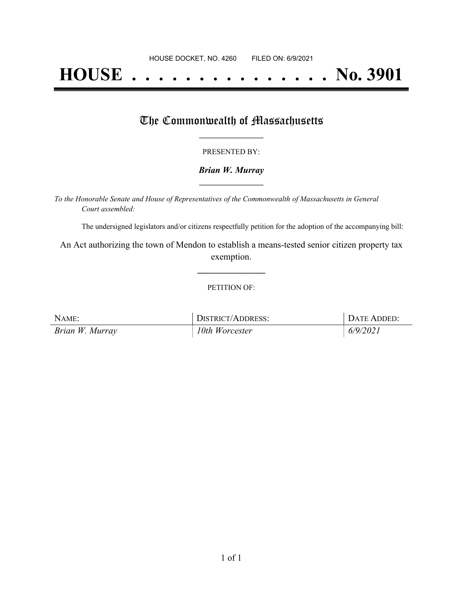# **HOUSE . . . . . . . . . . . . . . . No. 3901**

## The Commonwealth of Massachusetts

#### PRESENTED BY:

#### *Brian W. Murray* **\_\_\_\_\_\_\_\_\_\_\_\_\_\_\_\_\_**

*To the Honorable Senate and House of Representatives of the Commonwealth of Massachusetts in General Court assembled:*

The undersigned legislators and/or citizens respectfully petition for the adoption of the accompanying bill:

An Act authorizing the town of Mendon to establish a means-tested senior citizen property tax exemption.

**\_\_\_\_\_\_\_\_\_\_\_\_\_\_\_**

#### PETITION OF:

| NAME:           | DISTRICT/ADDRESS: | DATE ADDED: |
|-----------------|-------------------|-------------|
| Brian W. Murray | 10th Worcester    | 6/9/2021    |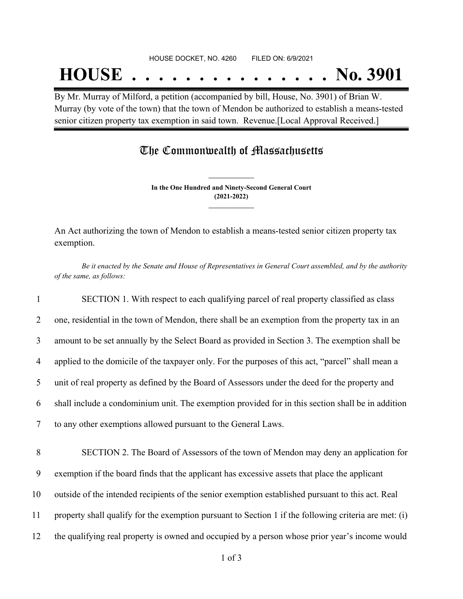## **HOUSE . . . . . . . . . . . . . . . No. 3901**

By Mr. Murray of Milford, a petition (accompanied by bill, House, No. 3901) of Brian W. Murray (by vote of the town) that the town of Mendon be authorized to establish a means-tested senior citizen property tax exemption in said town. Revenue.[Local Approval Received.]

## The Commonwealth of Massachusetts

**In the One Hundred and Ninety-Second General Court (2021-2022) \_\_\_\_\_\_\_\_\_\_\_\_\_\_\_**

**\_\_\_\_\_\_\_\_\_\_\_\_\_\_\_**

An Act authorizing the town of Mendon to establish a means-tested senior citizen property tax exemption.

Be it enacted by the Senate and House of Representatives in General Court assembled, and by the authority *of the same, as follows:*

 SECTION 1. With respect to each qualifying parcel of real property classified as class one, residential in the town of Mendon, there shall be an exemption from the property tax in an amount to be set annually by the Select Board as provided in Section 3. The exemption shall be applied to the domicile of the taxpayer only. For the purposes of this act, "parcel" shall mean a unit of real property as defined by the Board of Assessors under the deed for the property and shall include a condominium unit. The exemption provided for in this section shall be in addition to any other exemptions allowed pursuant to the General Laws.

 SECTION 2. The Board of Assessors of the town of Mendon may deny an application for exemption if the board finds that the applicant has excessive assets that place the applicant outside of the intended recipients of the senior exemption established pursuant to this act. Real property shall qualify for the exemption pursuant to Section 1 if the following criteria are met: (i) the qualifying real property is owned and occupied by a person whose prior year's income would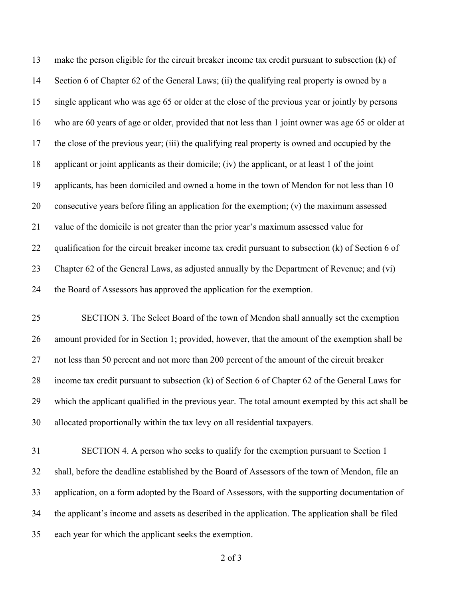make the person eligible for the circuit breaker income tax credit pursuant to subsection (k) of Section 6 of Chapter 62 of the General Laws; (ii) the qualifying real property is owned by a single applicant who was age 65 or older at the close of the previous year or jointly by persons who are 60 years of age or older, provided that not less than 1 joint owner was age 65 or older at the close of the previous year; (iii) the qualifying real property is owned and occupied by the applicant or joint applicants as their domicile; (iv) the applicant, or at least 1 of the joint applicants, has been domiciled and owned a home in the town of Mendon for not less than 10 consecutive years before filing an application for the exemption; (v) the maximum assessed value of the domicile is not greater than the prior year's maximum assessed value for 22 qualification for the circuit breaker income tax credit pursuant to subsection (k) of Section 6 of Chapter 62 of the General Laws, as adjusted annually by the Department of Revenue; and (vi) the Board of Assessors has approved the application for the exemption.

 SECTION 3. The Select Board of the town of Mendon shall annually set the exemption amount provided for in Section 1; provided, however, that the amount of the exemption shall be not less than 50 percent and not more than 200 percent of the amount of the circuit breaker income tax credit pursuant to subsection (k) of Section 6 of Chapter 62 of the General Laws for which the applicant qualified in the previous year. The total amount exempted by this act shall be allocated proportionally within the tax levy on all residential taxpayers.

 SECTION 4. A person who seeks to qualify for the exemption pursuant to Section 1 shall, before the deadline established by the Board of Assessors of the town of Mendon, file an application, on a form adopted by the Board of Assessors, with the supporting documentation of the applicant's income and assets as described in the application. The application shall be filed each year for which the applicant seeks the exemption.

of 3